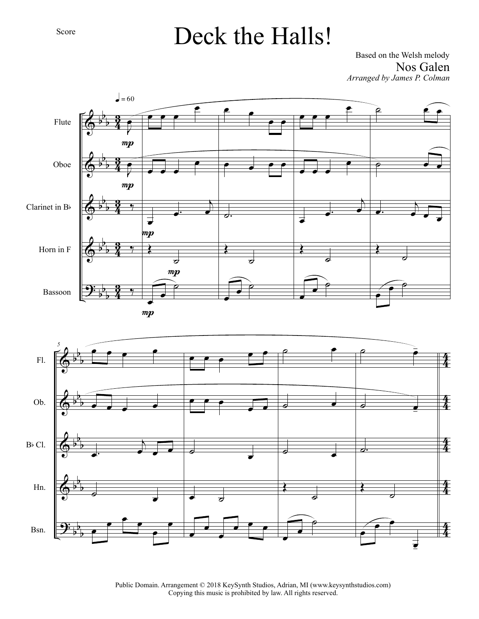Score

 $\bm{\phi}$ 

Hn.

Bsn.

b

b b b

b

 $\overline{\bullet}$ 

œ

œ

œ

œ

œ

œ

œ

 $\overline{\bullet}$   $\overline{\circ}$ 

œ

œ

œ œ œ

œ

<u>?</u>

## Deck the Halls!

Based on the Welsh melody *Arranged by James P. Colman* Nos Galen

4

4 4

œ -



Œ

œ

œ

˙

Œ

œ

œ œ

 $\overline{\phantom{a}}$ 

˙

Public Domain. Arrangement © 2018 KeySynth Studios, Adrian, MI (www.keysynthstudios.com) Copying this music is prohibited by law. All rights reserved.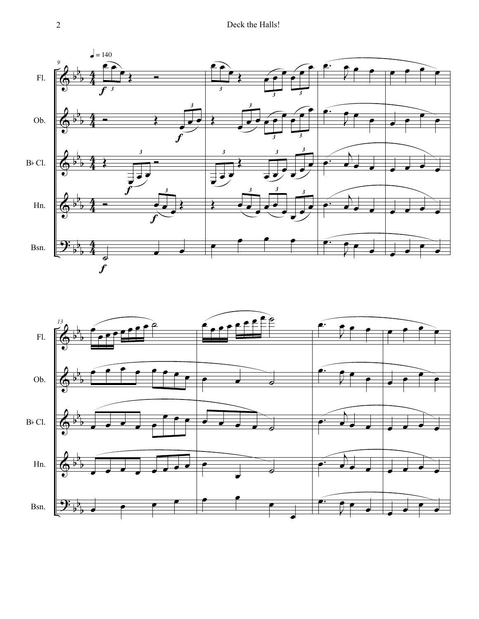